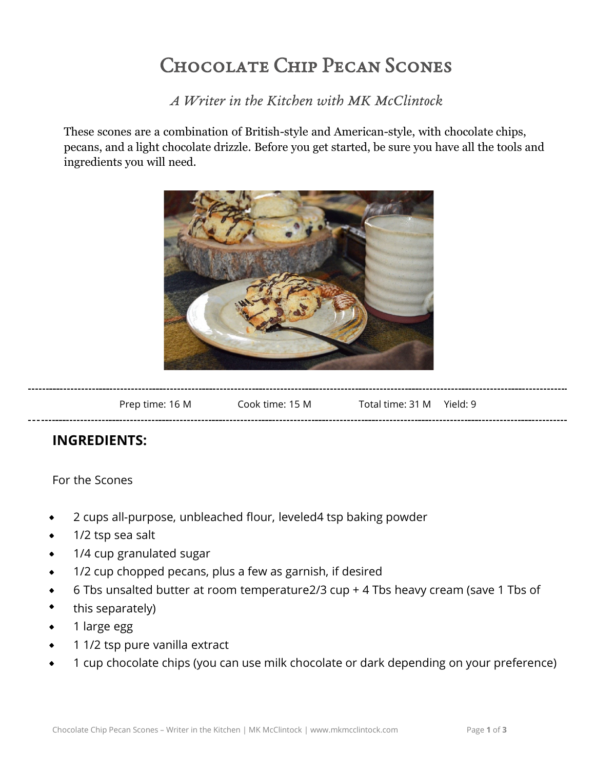# Chocolate Chip Pecan Scones

*A Writer in the Kitchen with MK McClintock*

These scones are a combination of British-style and American-style, with chocolate chips, pecans, and a light chocolate drizzle. Before you get started, be sure you have all the tools and ingredients you will need.



| Prep time: 16 M                     | Cook time: 15 M | Total time: 31 M | Yield: 9 |
|-------------------------------------|-----------------|------------------|----------|
| ---<br>---------------------------- |                 |                  |          |

## **INGREDIENTS:**

#### For the Scones

- 2 cups all-purpose, unbleached flour, leveled4 tsp baking powder  $\bullet$
- 1/2 tsp sea salt
- 1/4 cup granulated sugar
- 1/2 cup chopped pecans, plus a few as garnish, if desired
- 6 Tbs unsalted butter at room temperature2/3 cup + 4 Tbs heavy cream (save 1 Tbs of
- this separately)
- 1 large egg
- 1 1/2 tsp pure vanilla extract
- 1 cup chocolate chips (you can use milk chocolate or dark depending on your preference)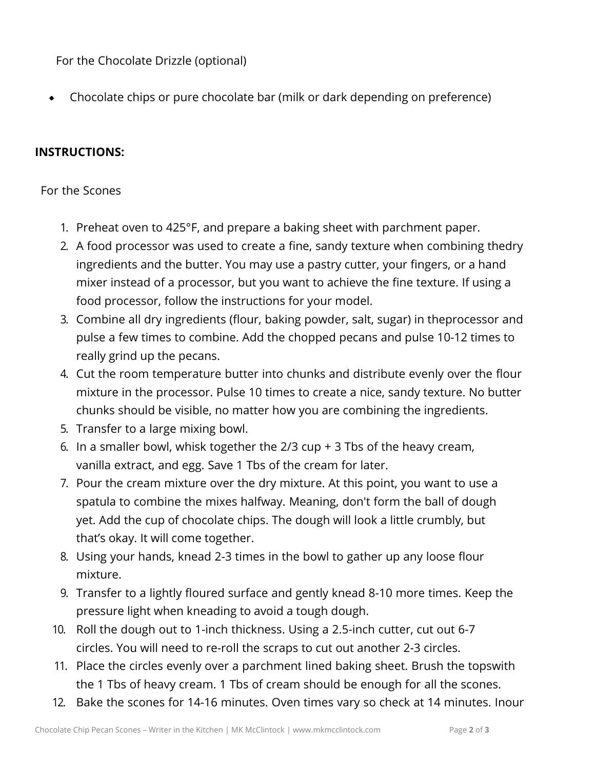For the Chocolate Drizzle (optional)

Chocolate chips or pure chocolate bar (milk or dark depending on preference)  $\bullet$ 

### **INSTRUCTIONS:**

#### For the Scones

- 1. Preheat oven to 425°F, and prepare a baking sheet with parchment paper.
- 2. A food processor was used to create a fine, sandy texture when combining thedry ingredients and the butter. You may use a pastry cutter, your fingers, or a hand mixer instead of a processor, but you want to achieve the fine texture. If using a food processor, follow the instructions for your model.
- 3. Combine all dry ingredients (flour, baking powder, salt, sugar) in theprocessor and pulse a few times to combine. Add the chopped pecans and pulse 10-12 times to really grind up the pecans.
- 4. Cut the room temperature butter into chunks and distribute evenly over the flour mixture in the processor. Pulse 10 times to create a nice, sandy texture. No butter chunks should be visible, no matter how you are combining the ingredients.
- 5. Transfer to a large mixing bowl.
- 6. In a smaller bowl, whisk together the 2/3 cup + 3 Tbs of the heavy cream, vanilla extract, and egg. Save 1 Tbs of the cream for later.
- 7. Pour the cream mixture over the dry mixture. At this point, you want to use a spatula to combine the mixes halfway. Meaning, don't form the ball of dough yet. Add the cup of chocolate chips. The dough will look a little crumbly, but that's okay. It will come together.
- 8. Using your hands, knead 2-3 times in the bowl to gather up any loose flour mixture.
- 9. Transfer to a lightly floured surface and gently knead 8-10 more times. Keep the pressure light when kneading to avoid a tough dough.
- 10. Roll the dough out to 1-inch thickness. Using a 2.5-inch cutter, cut out 6-7 circles. You will need to re-roll the scraps to cut out another 2-3 circles.
- 11. Place the circles evenly over a parchment lined baking sheet. Brush the topswith the 1 Tbs of heavy cream. 1 Tbs of cream should be enough for all the scones.
- 12. Bake the scones for 14-16 minutes. Oven times vary so check at 14 minutes. Inour